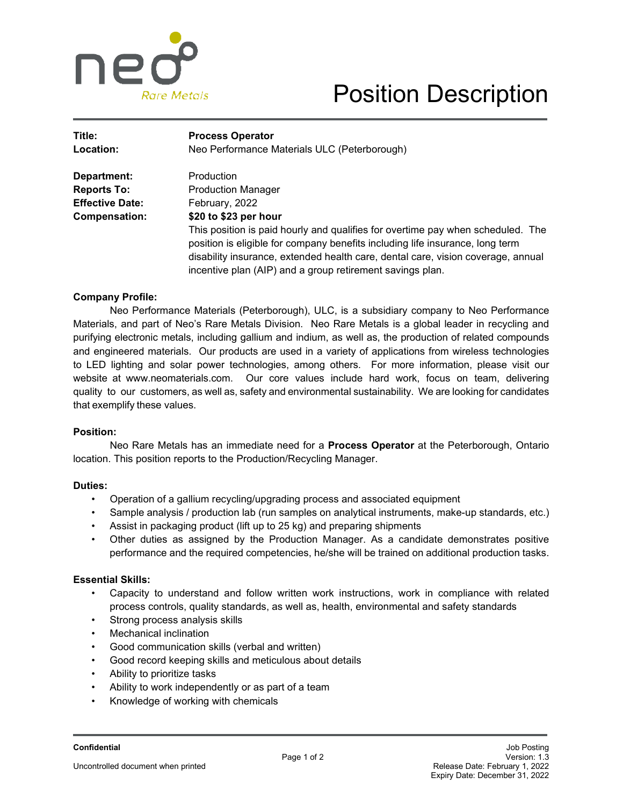

## Position Description

| Title:<br><b>Location:</b> | <b>Process Operator</b><br>Neo Performance Materials ULC (Peterborough)                                                                                                                                                                                                                                           |
|----------------------------|-------------------------------------------------------------------------------------------------------------------------------------------------------------------------------------------------------------------------------------------------------------------------------------------------------------------|
|                            |                                                                                                                                                                                                                                                                                                                   |
| <b>Reports To:</b>         | <b>Production Manager</b>                                                                                                                                                                                                                                                                                         |
| <b>Effective Date:</b>     | February, 2022                                                                                                                                                                                                                                                                                                    |
| <b>Compensation:</b>       | \$20 to \$23 per hour                                                                                                                                                                                                                                                                                             |
|                            | This position is paid hourly and qualifies for overtime pay when scheduled. The<br>position is eligible for company benefits including life insurance, long term<br>disability insurance, extended health care, dental care, vision coverage, annual<br>incentive plan (AIP) and a group retirement savings plan. |

#### **Company Profile:**

Neo Performance Materials (Peterborough), ULC, is a subsidiary company to Neo Performance Materials, and part of Neo's Rare Metals Division. Neo Rare Metals is a global leader in recycling and purifying electronic metals, including gallium and indium, as well as, the production of related compounds and engineered materials. Our products are used in a variety of applications from wireless technologies to LED lighting and solar power technologies, among others. For more information, please visit our website at www.neomaterials.com. Our core values include hard work, focus on team, delivering quality to our customers, as well as, safety and environmental sustainability. We are looking for candidates that exemplify these values.

#### **Position:**

Neo Rare Metals has an immediate need for a **Process Operator** at the Peterborough, Ontario location. This position reports to the Production/Recycling Manager.

#### **Duties:**

- Operation of a gallium recycling/upgrading process and associated equipment
- Sample analysis / production lab (run samples on analytical instruments, make-up standards, etc.)
- Assist in packaging product (lift up to 25 kg) and preparing shipments
- Other duties as assigned by the Production Manager. As a candidate demonstrates positive performance and the required competencies, he/she will be trained on additional production tasks.

#### **Essential Skills:**

- Capacity to understand and follow written work instructions, work in compliance with related process controls, quality standards, as well as, health, environmental and safety standards
- Strong process analysis skills
- **Mechanical inclination**
- Good communication skills (verbal and written)
- Good record keeping skills and meticulous about details
- Ability to prioritize tasks
- Ability to work independently or as part of a team
- Knowledge of working with chemicals